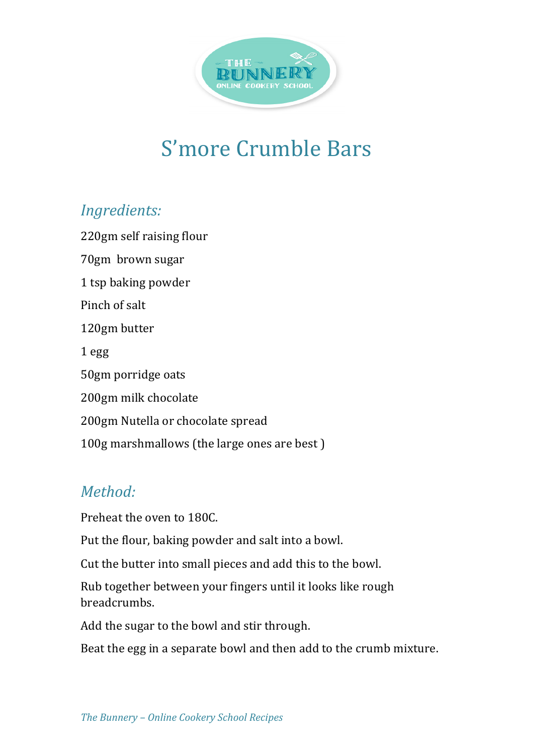

## S'more Crumble Bars

## *Ingredients:*

220gm self raising flour 70gm brown sugar 1 tsp baking powder Pinch of salt 120gm butter 1 egg 50gm porridge oats 200gm milk chocolate 200gm Nutella or chocolate spread 100g marshmallows (the large ones are best)

## *Method:*

Preheat the oven to 180C.

Put the flour, baking powder and salt into a bowl.

Cut the butter into small pieces and add this to the bowl.

Rub together between your fingers until it looks like rough breadcrumbs.

Add the sugar to the bowl and stir through.

Beat the egg in a separate bowl and then add to the crumb mixture.